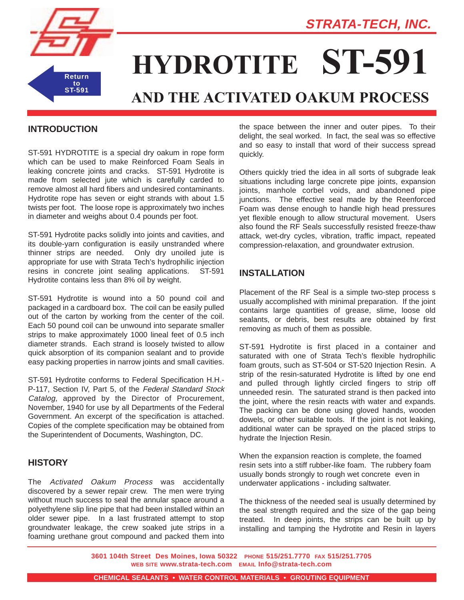

# **HYDROTITE ST-591**

## **AND THE ACTIVATED OAKUM PROCESS**

### **INTRODUCTION**

ST-591 HYDROTITE is a special dry oakum in rope form which can be used to make Reinforced Foam Seals in leaking concrete joints and cracks. ST-591 Hydrotite is made from selected jute which is carefully carded to remove almost all hard fibers and undesired contaminants. Hydrotite rope has seven or eight strands with about 1.5 twists per foot. The loose rope is approximately two inches in diameter and weighs about 0.4 pounds per foot.

ST-591 Hydrotite packs solidly into joints and cavities, and its double-yarn configuration is easily unstranded where thinner strips are needed. Only dry unoiled jute is appropriate for use with Strata Tech's hydrophilic injection resins in concrete joint sealing applications. ST-591 Hydrotite contains less than 8% oil by weight.

ST-591 Hydrotite is wound into a 50 pound coil and packaged in a cardboard box. The coil can be easily pulled out of the carton by working from the center of the coil. Each 50 pound coil can be unwound into separate smaller strips to make approximately 1000 lineal feet of 0.5 inch diameter strands. Each strand is loosely twisted to allow quick absorption of its companion sealant and to provide easy packing properties in narrow joints and small cavities.

ST-591 Hydrotite conforms to Federal Specification H.H.- P-117, Section IV, Part 5, of the Federal Standard Stock Catalog, approved by the Director of Procurement, November, 1940 for use by all Departments of the Federal Government. An excerpt of the specification is attached. Copies of the complete specification may be obtained from the Superintendent of Documents, Washington, DC.

#### **HISTORY**

The Activated Oakum Process was accidentally discovered by a sewer repair crew. The men were trying without much success to seal the annular space around a polyethylene slip line pipe that had been installed within an older sewer pipe. In a last frustrated attempt to stop groundwater leakage, the crew soaked jute strips in a foaming urethane grout compound and packed them into

the space between the inner and outer pipes. To their delight, the seal worked. In fact, the seal was so effective and so easy to install that word of their success spread quickly.

Others quickly tried the idea in all sorts of subgrade leak situations including large concrete pipe joints, expansion joints, manhole corbel voids, and abandoned pipe junctions. The effective seal made by the Reenforced Foam was dense enough to handle high head pressures yet flexible enough to allow structural movement. Users also found the RF Seals successfully resisted freeze-thaw attack, wet-dry cycles, vibration, traffic impact, repeated compression-relaxation, and groundwater extrusion.

#### **INSTALLATION**

Placement of the RF Seal is a simple two-step process s usually accomplished with minimal preparation. If the joint contains large quantities of grease, slime, loose old sealants, or debris, best results are obtained by first removing as much of them as possible.

ST-591 Hydrotite is first placed in a container and saturated with one of Strata Tech's flexible hydrophilic foam grouts, such as ST-504 or ST-520 Injection Resin. A strip of the resin-saturated Hydrotite is lifted by one end and pulled through lightly circled fingers to strip off unneeded resin. The saturated strand is then packed into the joint, where the resin reacts with water and expands. The packing can be done using gloved hands, wooden dowels, or other suitable tools. If the joint is not leaking, additional water can be sprayed on the placed strips to hydrate the Injection Resin.

When the expansion reaction is complete, the foamed resin sets into a stiff rubber-like foam. The rubbery foam usually bonds strongly to rough wet concrete even in underwater applications - including saltwater.

The thickness of the needed seal is usually determined by the seal strength required and the size of the gap being treated. In deep joints, the strips can be built up by installing and tamping the Hydrotite and Resin in layers

**3601 104th Street Des Moines, Iowa 50322 PHONE 515/251.7770 FAX 515/251.7705 WEB SITE www.strata-tech.com EMAIL Info@strata-tech.com**